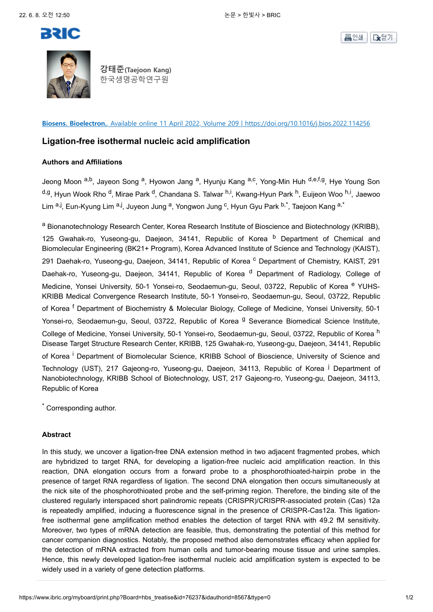





**강태준(Taejoon Kang)** 한국생명공학연구원

**Biosens. Bioelectron.**, Available online 11 April 2022, Volume 209 | https://doi.org/10.1016/j.bios.2022.114256

## **Ligation-free isothermal nucleic acid amplification**

## **Authors and Affiliations**

Jeong Moon <sup>a,b</sup>, Jayeon Song <sup>a</sup>, Hyowon Jang <sup>a</sup>, Hyunju Kang <sup>a,c</sup>, Yong-Min Huh <sup>d,e,f,g</sup>, Hye Young Son <sup>d,g</sup>, Hyun Wook Rho <sup>d</sup>, Mirae Park <sup>d</sup>, Chandana S. Talwar <sup>h,i</sup>, Kwang-Hyun Park <sup>h</sup>, Euijeon Woo <sup>h,i</sup>, Jaewoo Lim <sup>a,j</sup>, Eun-Kyung Lim <sup>a,j</sup>, Juyeon Jung <sup>a</sup>, Yongwon Jung <sup>c</sup>, Hyun Gyu Park <sup>b,\*</sup>, Taejoon Kang <sup>a,\*</sup>

a Bionanotechnology Research Center, Korea Research Institute of Bioscience and Biotechnology (KRIBB), 125 Gwahak-ro, Yuseong-gu, Daejeon, 34141, Republic of Korea **b** Department of Chemical and Biomolecular Engineering (BK21+ Program), Korea Advanced Institute of Science and Technology (KAIST), 291 Daehak-ro, Yuseong-gu, Daejeon, 34141, Republic of Korea <sup>c</sup> Department of Chemistry, KAIST, 291 Daehak-ro, Yuseong-gu, Daejeon, 34141, Republic of Korea <sup>d</sup> Department of Radiology, College of Medicine, Yonsei University, 50-1 Yonsei-ro, Seodaemun-gu, Seoul, 03722, Republic of Korea<sup>e</sup> YUHS-KRIBB Medical Convergence Research Institute, 50-1 Yonsei-ro, Seodaemun-gu, Seoul, 03722, Republic of Korea<sup>f</sup> Department of Biochemistry & Molecular Biology, College of Medicine, Yonsei University, 50-1 Yonsei-ro, Seodaemun-gu, Seoul, 03722, Republic of Korea <sup>g</sup> Severance Biomedical Science Institute, College of Medicine, Yonsei University, 50-1 Yonsei-ro, Seodaemun-gu, Seoul, 03722, Republic of Korea h Disease Target Structure Research Center, KRIBB, 125 Gwahak-ro, Yuseong-gu, Daejeon, 34141, Republic of Korea<sup>i</sup> Department of Biomolecular Science, KRIBB School of Bioscience, University of Science and Technology (UST), 217 Gajeong-ro, Yuseong-gu, Daejeon, 34113, Republic of Korea <sup>j</sup> Department of Nanobiotechnology, KRIBB School of Biotechnology, UST, 217 Gajeong-ro, Yuseong-gu, Daejeon, 34113, Republic of Korea

\* Corresponding author.

## **Abstract**

In this study, we uncover a ligation-free DNA extension method in two adjacent fragmented probes, which are hybridized to target RNA, for developing a ligation-free nucleic acid amplification reaction. In this reaction, DNA elongation occurs from a forward probe to a phosphorothioated-hairpin probe in the presence of target RNA regardless of ligation. The second DNA elongation then occurs simultaneously at the nick site of the phosphorothioated probe and the self-priming region. Therefore, the binding site of the clustered regularly interspaced short palindromic repeats (CRISPR)/CRISPR-associated protein (Cas) 12a is repeatedly amplified, inducing a fluorescence signal in the presence of CRISPR-Cas12a. This ligationfree isothermal gene amplification method enables the detection of target RNA with 49.2 fM sensitivity. Moreover, two types of mRNA detection are feasible, thus, demonstrating the potential of this method for cancer companion diagnostics. Notably, the proposed method also demonstrates efficacy when applied for the detection of mRNA extracted from human cells and tumor-bearing mouse tissue and urine samples. Hence, this newly developed ligation-free isothermal nucleic acid amplification system is expected to be widely used in a variety of gene detection platforms.